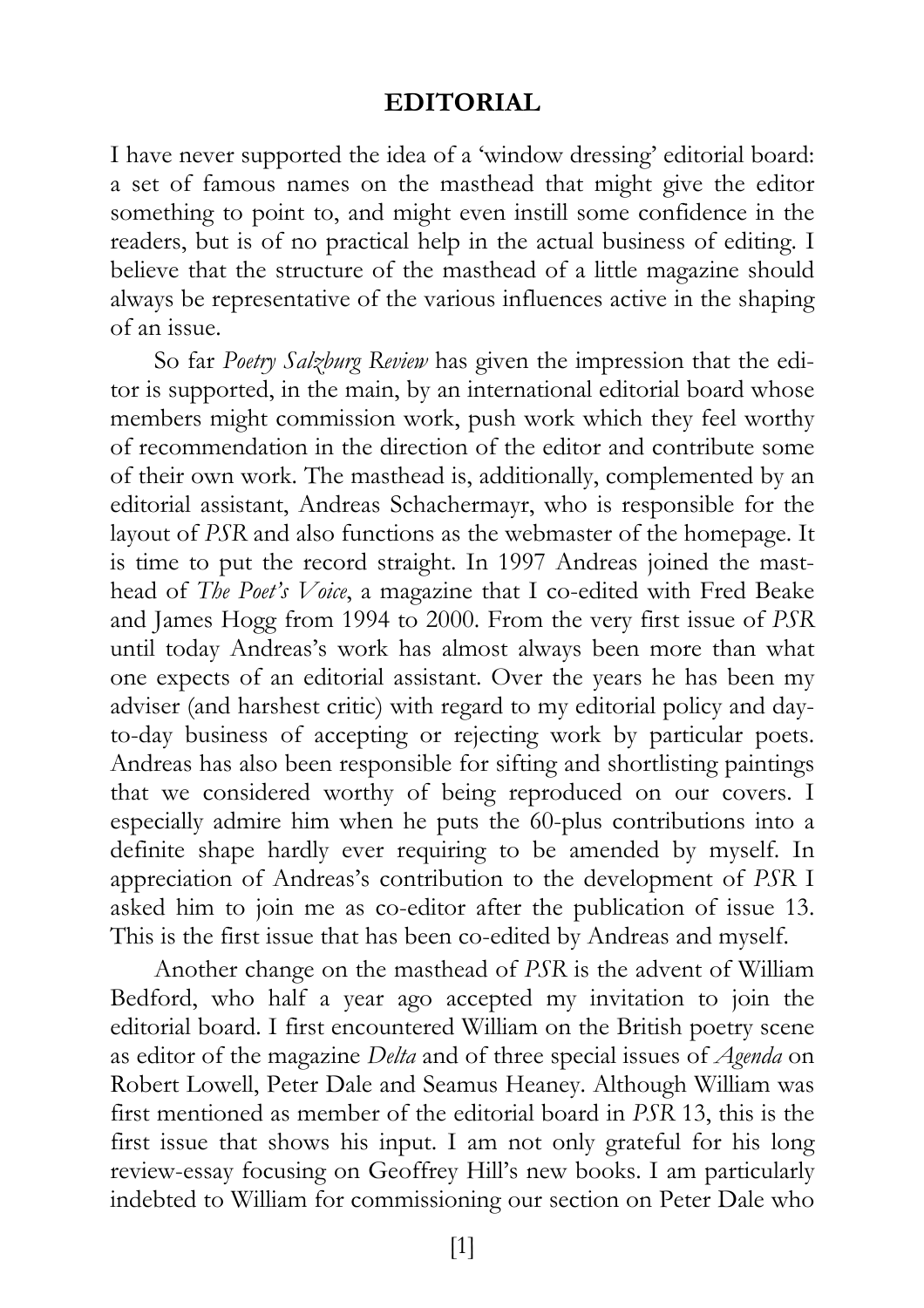## **EDITORIAL**

I have never supported the idea of a 'window dressing' editorial board: a set of famous names on the masthead that might give the editor something to point to, and might even instill some confidence in the readers, but is of no practical help in the actual business of editing. I believe that the structure of the masthead of a little magazine should always be representative of the various influences active in the shaping of an issue.

So far *Poetry Salzburg Review* has given the impression that the editor is supported, in the main, by an international editorial board whose members might commission work, push work which they feel worthy of recommendation in the direction of the editor and contribute some of their own work. The masthead is, additionally, complemented by an editorial assistant, Andreas Schachermayr, who is responsible for the layout of *PSR* and also functions as the webmaster of the homepage. It is time to put the record straight. In 1997 Andreas joined the masthead of *The Poet's Voice*, a magazine that I co-edited with Fred Beake and James Hogg from 1994 to 2000. From the very first issue of *PSR* until today Andreas's work has almost always been more than what one expects of an editorial assistant. Over the years he has been my adviser (and harshest critic) with regard to my editorial policy and dayto-day business of accepting or rejecting work by particular poets. Andreas has also been responsible for sifting and shortlisting paintings that we considered worthy of being reproduced on our covers. I especially admire him when he puts the 60-plus contributions into a definite shape hardly ever requiring to be amended by myself. In appreciation of Andreas's contribution to the development of *PSR* I asked him to join me as co-editor after the publication of issue 13. This is the first issue that has been co-edited by Andreas and myself.

Another change on the masthead of *PSR* is the advent of William Bedford, who half a year ago accepted my invitation to join the editorial board. I first encountered William on the British poetry scene as editor of the magazine *Delta* and of three special issues of *Agenda* on Robert Lowell, Peter Dale and Seamus Heaney. Although William was first mentioned as member of the editorial board in *PSR* 13, this is the first issue that shows his input. I am not only grateful for his long review-essay focusing on Geoffrey Hill's new books. I am particularly indebted to William for commissioning our section on Peter Dale who